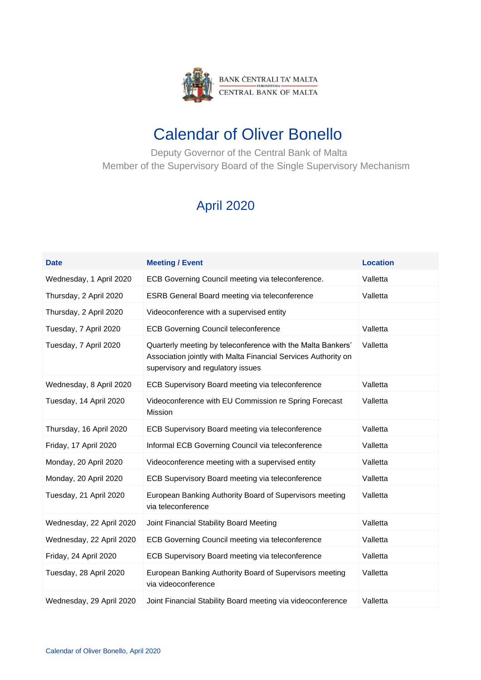

## Calendar of Oliver Bonello

 Deputy Governor of the Central Bank of Malta Member of the Supervisory Board of the Single Supervisory Mechanism

## April 2020

| <b>Date</b>              | <b>Meeting / Event</b>                                                                                                                                             | <b>Location</b> |
|--------------------------|--------------------------------------------------------------------------------------------------------------------------------------------------------------------|-----------------|
| Wednesday, 1 April 2020  | ECB Governing Council meeting via teleconference.                                                                                                                  | Valletta        |
| Thursday, 2 April 2020   | ESRB General Board meeting via teleconference                                                                                                                      | Valletta        |
| Thursday, 2 April 2020   | Videoconference with a supervised entity                                                                                                                           |                 |
| Tuesday, 7 April 2020    | <b>ECB Governing Council teleconference</b>                                                                                                                        | Valletta        |
| Tuesday, 7 April 2020    | Quarterly meeting by teleconference with the Malta Bankers'<br>Association jointly with Malta Financial Services Authority on<br>supervisory and regulatory issues | Valletta        |
| Wednesday, 8 April 2020  | ECB Supervisory Board meeting via teleconference                                                                                                                   | Valletta        |
| Tuesday, 14 April 2020   | Videoconference with EU Commission re Spring Forecast<br>Mission                                                                                                   | Valletta        |
| Thursday, 16 April 2020  | ECB Supervisory Board meeting via teleconference                                                                                                                   | Valletta        |
| Friday, 17 April 2020    | Informal ECB Governing Council via teleconference                                                                                                                  | Valletta        |
| Monday, 20 April 2020    | Videoconference meeting with a supervised entity                                                                                                                   | Valletta        |
| Monday, 20 April 2020    | ECB Supervisory Board meeting via teleconference                                                                                                                   | Valletta        |
| Tuesday, 21 April 2020   | European Banking Authority Board of Supervisors meeting<br>via teleconference                                                                                      | Valletta        |
| Wednesday, 22 April 2020 | Joint Financial Stability Board Meeting                                                                                                                            | Valletta        |
| Wednesday, 22 April 2020 | ECB Governing Council meeting via teleconference                                                                                                                   | Valletta        |
| Friday, 24 April 2020    | ECB Supervisory Board meeting via teleconference                                                                                                                   | Valletta        |
| Tuesday, 28 April 2020   | European Banking Authority Board of Supervisors meeting<br>via videoconference                                                                                     | Valletta        |
| Wednesday, 29 April 2020 | Joint Financial Stability Board meeting via videoconference                                                                                                        | Valletta        |